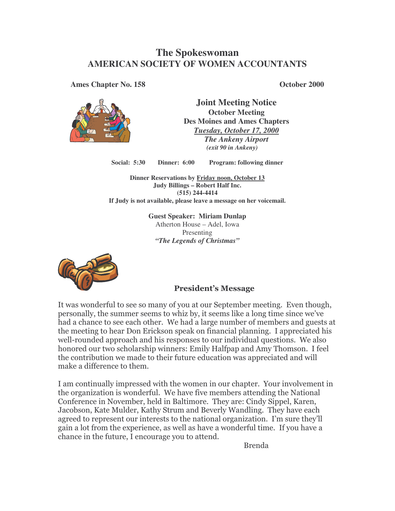# **The Spokeswoman AMERICAN SOCIETY OF WOMEN ACCOUNTANTS**

**Ames Chapter No. 158 October 2000**



**Joint Meeting Notice October Meeting Des Moines and Ames Chapters** *Tuesday, October 17, 2000 The Ankeny Airport (exit 90 in Ankeny)*

**Social: 5:30 Dinner: 6:00 Program: following dinner**

**Dinner Reservations by Friday noon, October 13 Judy Billings – Robert Half Inc. (515) 244-4414 If Judy is not available, please leave a message on her voicemail.**

> **Guest Speaker: Miriam Dunlap** Atherton House – Adel, Iowa Presenting *"The Legends of Christmas"*



# **President's Message**

It was wonderful to see so many of you at our September meeting. Even though, personally, the summer seems to whiz by, it seems like a long time since we've had a chance to see each other. We had a large number of members and guests at the meeting to hear Don Erickson speak on financial planning. I appreciated his well-rounded approach and his responses to our individual questions. We also honored our two scholarship winners: Emily Halfpap and Amy Thomson. I feel the contribution we made to their future education was appreciated and will make a difference to them.

I am continually impressed with the women in our chapter. Your involvement in the organization is wonderful. We have five members attending the National Conference in November, held in Baltimore. They are: Cindy Sippel, Karen, Jacobson, Kate Mulder, Kathy Strum and Beverly Wandling. They have each  $\,$ agreed to represent our interests to the national organization. I'm sure they'll gain a lot from the experience, as well as have a wonderful time. If you have a chance in the future, I encourage you to attend.

Brenda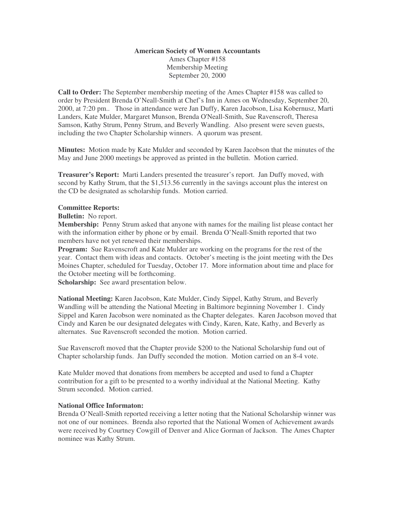### **American Society of Women Accountants**

Ames Chapter #158 Membership Meeting September 20, 2000

**Call to Order:** The September membership meeting of the Ames Chapter #158 was called to order by President Brenda O'Neall-Smith at Chef's Inn in Ames on Wednesday, September 20, 2000, at 7:20 pm.. Those in attendance were Jan Duffy, Karen Jacobson, Lisa Kobernusz, Marti Landers, Kate Mulder, Margaret Munson, Brenda O'Neall-Smith, Sue Ravenscroft, Theresa Samson, Kathy Strum, Penny Strum, and Beverly Wandling. Also present were seven guests, including the two Chapter Scholarship winners. A quorum was present.

**Minutes:** Motion made by Kate Mulder and seconded by Karen Jacobson that the minutes of the May and June 2000 meetings be approved as printed in the bulletin. Motion carried.

**Treasurer's Report:** Marti Landers presented the treasurer's report. Jan Duffy moved, with second by Kathy Strum, that the \$1,513.56 currently in the savings account plus the interest on the CD be designated as scholarship funds. Motion carried.

### **Committee Reports:**

**Bulletin:** No report.

**Membership:** Penny Strum asked that anyone with names for the mailing list please contact her with the information either by phone or by email. Brenda O'Neall-Smith reported that two members have not yet renewed their memberships.

**Program:** Sue Ravenscroft and Kate Mulder are working on the programs for the rest of the year. Contact them with ideas and contacts. October's meeting is the joint meeting with the Des Moines Chapter, scheduled for Tuesday, October 17. More information about time and place for the October meeting will be forthcoming.

**Scholarship:** See award presentation below.

**National Meeting:** Karen Jacobson, Kate Mulder, Cindy Sippel, Kathy Strum, and Beverly Wandling will be attending the National Meeting in Baltimore beginning November 1. Cindy Sippel and Karen Jacobson were nominated as the Chapter delegates. Karen Jacobson moved that Cindy and Karen be our designated delegates with Cindy, Karen, Kate, Kathy, and Beverly as alternates. Sue Ravenscroft seconded the motion. Motion carried.

Sue Ravenscroft moved that the Chapter provide \$200 to the National Scholarship fund out of Chapter scholarship funds. Jan Duffy seconded the motion. Motion carried on an 8-4 vote.

Kate Mulder moved that donations from members be accepted and used to fund a Chapter contribution for a gift to be presented to a worthy individual at the National Meeting. Kathy Strum seconded. Motion carried.

## **National Office Informaton:**

Brenda O'Neall-Smith reported receiving a letter noting that the National Scholarship winner was not one of our nominees. Brenda also reported that the National Women of Achievement awards were received by Courtney Cowgill of Denver and Alice Gorman of Jackson. The Ames Chapter nominee was Kathy Strum.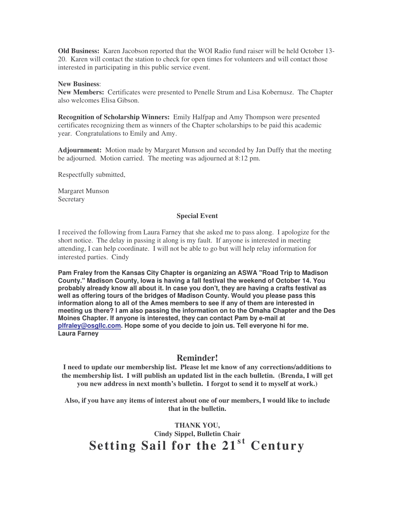**Old Business:** Karen Jacobson reported that the WOI Radio fund raiser will be held October 13- 20. Karen will contact the station to check for open times for volunteers and will contact those interested in participating in this public service event.

### **New Business**:

**New Members:** Certificates were presented to Penelle Strum and Lisa Kobernusz. The Chapter also welcomes Elisa Gibson.

**Recognition of Scholarship Winners:** Emily Halfpap and Amy Thompson were presented certificates recognizing them as winners of the Chapter scholarships to be paid this academic year. Congratulations to Emily and Amy.

**Adjournment:** Motion made by Margaret Munson and seconded by Jan Duffy that the meeting be adjourned. Motion carried. The meeting was adjourned at 8:12 pm.

Respectfully submitted,

Margaret Munson **Secretary** 

#### **Special Event**

I received the following from Laura Farney that she asked me to pass along. I apologize for the short notice. The delay in passing it along is my fault. If anyone is interested in meeting attending, I can help coordinate. I will not be able to go but will help relay information for interested parties. Cindy

**Pam Fraley from the Kansas City Chapter is organizing an ASWA "Road Trip to Madison County." Madison County, Iowa is having a fall festival the weekend of October 14. You probably already know all about it. In case you don't, they are having a crafts festival as well as offering tours of the bridges of Madison County. Would you please pass this information along to all of the Ames members to see if any of them are interested in meeting us there? I am also passing the information on to the Omaha Chapter and the Des Moines Chapter. If anyone is interested, they can contact Pam by e-mail at plfraley@osgllc.com. Hope some of you decide to join us. Tell everyone hi for me. Laura Farney**

## **Reminder!**

**I need to update our membership list. Please let me know of any corrections/additions to the membership list. I will publish an updated list in the each bulletin. (Brenda, I will get you new address in next month's bulletin. I forgot to send it to myself at work.)**

**Also, if you have any items of interest about one of our members, I would like to include that in the bulletin.**

**THANK YOU, Cindy Sippel, Bulletin Chair Setting Sail for the 21 st Century**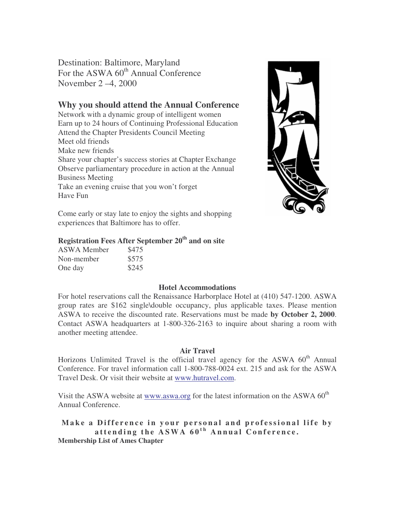Destination: Baltimore, Maryland For the ASWA 60<sup>th</sup> Annual Conference November 2 –4, 2000

# **Why you should attend the Annual Conference**

Network with a dynamic group of intelligent women Earn up to 24 hours of Continuing Professional Education Attend the Chapter Presidents Council Meeting Meet old friends Make new friends Share your chapter's success stories at Chapter Exchange Observe parliamentary procedure in action at the Annual Business Meeting Take an evening cruise that you won't forget Have Fun



Come early or stay late to enjoy the sights and shopping experiences that Baltimore has to offer.

# **Registration Fees After September 20 th and on site**

| ASWA Member | \$475 |
|-------------|-------|
| Non-member  | \$575 |
| One day     | \$245 |

## **Hotel Accommodations**

For hotel reservations call the Renaissance Harborplace Hotel at (410) 547-1200. ASWA group rates are \$162 single\double occupancy, plus applicable taxes. Please mention ASWA to receive the discounted rate. Reservations must be made **by October 2, 2000**. Contact ASWA headquarters at 1-800-326-2163 to inquire about sharing a room with another meeting attendee.

## **Air Travel**

Horizons Unlimited Travel is the official travel agency for the ASWA 60<sup>th</sup> Annual Conference. For travel information call 1-800-788-0024 ext. 215 and ask for the ASWA Travel Desk. Or visit their website at www.hutravel.com.

Visit the ASWA website at www.aswa.org for the latest information on the ASWA 60<sup>th</sup> Annual Conference.

Make a Difference in your personal and professional life by attending the ASWA 60<sup>th</sup> Annual Conference. **Membership List of Ames Chapter**